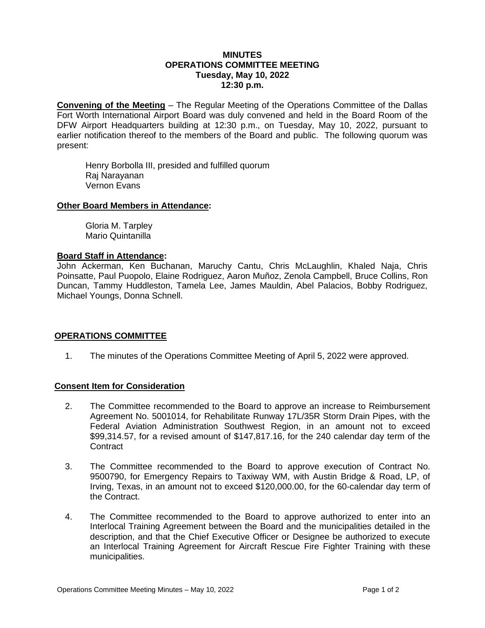## **MINUTES OPERATIONS COMMITTEE MEETING Tuesday, May 10, 2022 12:30 p.m.**

**Convening of the Meeting** – The Regular Meeting of the Operations Committee of the Dallas Fort Worth International Airport Board was duly convened and held in the Board Room of the DFW Airport Headquarters building at 12:30 p.m., on Tuesday, May 10, 2022, pursuant to earlier notification thereof to the members of the Board and public. The following quorum was present:

Henry Borbolla III, presided and fulfilled quorum Raj Narayanan Vernon Evans

## **Other Board Members in Attendance:**

Gloria M. Tarpley Mario Quintanilla

#### **Board Staff in Attendance:**

John Ackerman, Ken Buchanan, Maruchy Cantu, Chris McLaughlin, Khaled Naja, Chris Poinsatte, Paul Puopolo, Elaine Rodriguez, Aaron Muñoz, Zenola Campbell, Bruce Collins, Ron Duncan, Tammy Huddleston, Tamela Lee, James Mauldin, Abel Palacios, Bobby Rodriguez, Michael Youngs, Donna Schnell.

## **OPERATIONS COMMITTEE**

1. The minutes of the Operations Committee Meeting of April 5, 2022 were approved.

## **Consent Item for Consideration**

- 2. The Committee recommended to the Board to approve an increase to Reimbursement Agreement No. 5001014, for Rehabilitate Runway 17L/35R Storm Drain Pipes, with the Federal Aviation Administration Southwest Region, in an amount not to exceed \$99,314.57, for a revised amount of \$147,817.16, for the 240 calendar day term of the **Contract**
- 3. The Committee recommended to the Board to approve execution of Contract No. 9500790, for Emergency Repairs to Taxiway WM, with Austin Bridge & Road, LP, of Irving, Texas, in an amount not to exceed \$120,000.00, for the 60-calendar day term of the Contract.
- 4. The Committee recommended to the Board to approve authorized to enter into an Interlocal Training Agreement between the Board and the municipalities detailed in the description, and that the Chief Executive Officer or Designee be authorized to execute an Interlocal Training Agreement for Aircraft Rescue Fire Fighter Training with these municipalities.